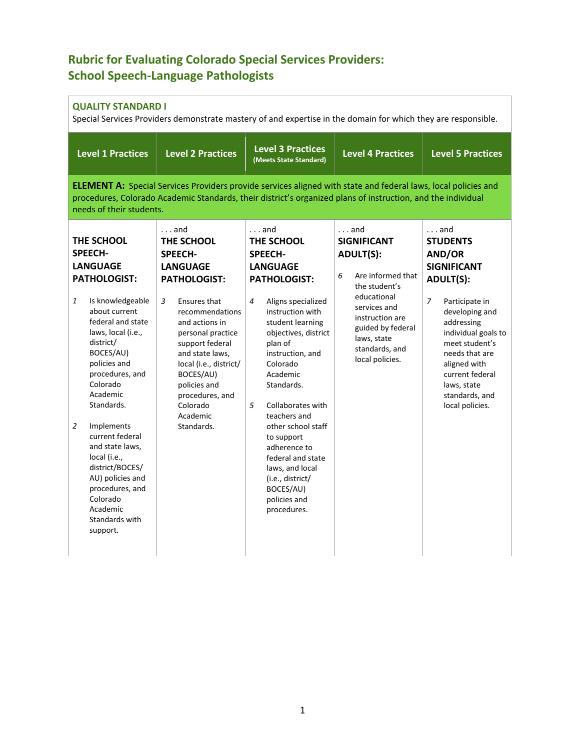# **Rubric for Evaluating Colorado Special Services Providers: School Speech-Language Pathologists**

# **QUALITY STANDARD I**

Special Services Providers demonstrate mastery of and expertise in the domain for which they are responsible.

| <b>Level 1 Practices</b>                                                                                                                                                                                                                                          | <b>Level 2 Practices</b>                                                                                                                                                                                            | <b>Level 3 Practices</b><br>(Meets State Standard)                                                                                                                                                                  | <b>Level 4 Practices</b>                                                                                                | <b>Level 5 Practices</b>                                                                                                                                                                                           |  |  |  |
|-------------------------------------------------------------------------------------------------------------------------------------------------------------------------------------------------------------------------------------------------------------------|---------------------------------------------------------------------------------------------------------------------------------------------------------------------------------------------------------------------|---------------------------------------------------------------------------------------------------------------------------------------------------------------------------------------------------------------------|-------------------------------------------------------------------------------------------------------------------------|--------------------------------------------------------------------------------------------------------------------------------------------------------------------------------------------------------------------|--|--|--|
| <b>ELEMENT A:</b> Special Services Providers provide services aligned with state and federal laws, local policies and<br>procedures, Colorado Academic Standards, their district's organized plans of instruction, and the individual<br>needs of their students. |                                                                                                                                                                                                                     |                                                                                                                                                                                                                     |                                                                                                                         |                                                                                                                                                                                                                    |  |  |  |
| THE SCHOOL<br><b>SPEECH-</b><br><b>LANGUAGE</b><br><b>PATHOLOGIST:</b>                                                                                                                                                                                            | $\ldots$ and<br>THE SCHOOL<br><b>SPEECH-</b><br><b>LANGUAGE</b><br><b>PATHOLOGIST:</b>                                                                                                                              | $\ldots$ and<br>THE SCHOOL<br><b>SPEECH-</b><br><b>LANGUAGE</b><br><b>PATHOLOGIST:</b>                                                                                                                              | $\ldots$ and<br><b>SIGNIFICANT</b><br><b>ADULT(S):</b><br>Are informed that<br>6<br>the student's                       | $\ldots$ and<br><b>STUDENTS</b><br>AND/OR<br><b>SIGNIFICANT</b><br><b>ADULT(S):</b>                                                                                                                                |  |  |  |
| Is knowledgeable<br>1<br>about current<br>federal and state<br>laws, local (i.e.,<br>district/<br>BOCES/AU)<br>policies and<br>procedures, and<br>Colorado<br>Academic<br>Standards.                                                                              | 3<br>Ensures that<br>recommendations<br>and actions in<br>personal practice<br>support federal<br>and state laws,<br>local (i.e., district/<br>BOCES/AU)<br>policies and<br>procedures, and<br>Colorado<br>Academic | $\overline{4}$<br>Aligns specialized<br>instruction with<br>student learning<br>objectives, district<br>plan of<br>instruction, and<br>Colorado<br>Academic<br>Standards.<br>5<br>Collaborates with<br>teachers and | educational<br>services and<br>instruction are<br>guided by federal<br>laws, state<br>standards, and<br>local policies. | $\overline{z}$<br>Participate in<br>developing and<br>addressing<br>individual goals to<br>meet student's<br>needs that are<br>aligned with<br>current federal<br>laws, state<br>standards, and<br>local policies. |  |  |  |
| Implements<br>2<br>current federal<br>and state laws,<br>local (i.e.,<br>district/BOCES/<br>AU) policies and<br>procedures, and<br>Colorado<br>Academic<br>Standards with<br>support.                                                                             | Standards.                                                                                                                                                                                                          | other school staff<br>to support<br>adherence to<br>federal and state<br>laws, and local<br>(i.e., district/<br>BOCES/AU)<br>policies and<br>procedures.                                                            |                                                                                                                         |                                                                                                                                                                                                                    |  |  |  |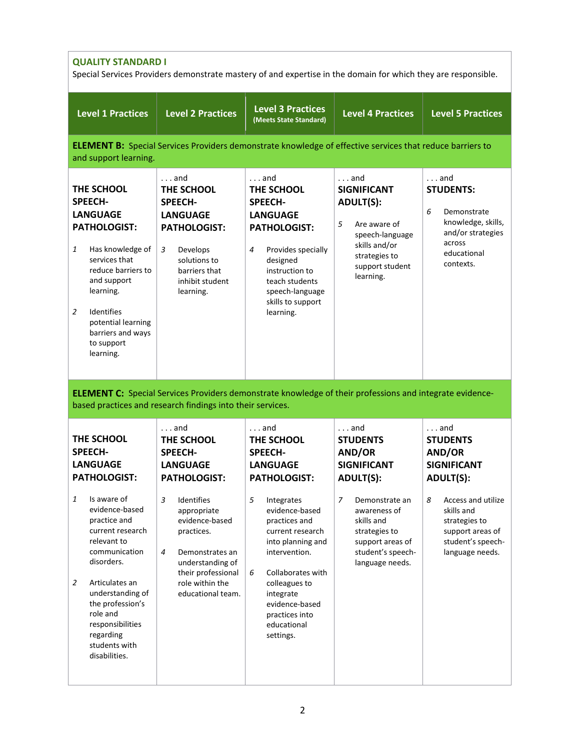| <b>QUALITY STANDARD I</b><br>Special Services Providers demonstrate mastery of and expertise in the domain for which they are responsible.                                            |                                                                                                                                                                                                                                      |                                                                                                                                                                  |                                                                                                                                                                                                                                                                            |  |  |
|---------------------------------------------------------------------------------------------------------------------------------------------------------------------------------------|--------------------------------------------------------------------------------------------------------------------------------------------------------------------------------------------------------------------------------------|------------------------------------------------------------------------------------------------------------------------------------------------------------------|----------------------------------------------------------------------------------------------------------------------------------------------------------------------------------------------------------------------------------------------------------------------------|--|--|
| <b>Level 2 Practices</b>                                                                                                                                                              | <b>Level 3 Practices</b><br>(Meets State Standard)                                                                                                                                                                                   | <b>Level 4 Practices</b>                                                                                                                                         | <b>Level 5 Practices</b>                                                                                                                                                                                                                                                   |  |  |
| $\ldots$ and<br>THE SCHOOL<br><b>SPEECH-</b><br><b>LANGUAGE</b><br><b>PATHOLOGIST:</b><br>3<br>Develops<br>solutions to<br>barriers that<br>inhibit student<br>learning.              | $\ldots$ and<br>THE SCHOOL<br><b>SPEECH-</b><br><b>LANGUAGE</b><br><b>PATHOLOGIST:</b><br>Provides specially<br>4<br>designed<br>instruction to<br>teach students<br>speech-language<br>skills to support<br>learning.               | $\ldots$ and<br><b>SIGNIFICANT</b><br><b>ADULT(S):</b><br>5<br>Are aware of<br>speech-language<br>skills and/or<br>strategies to<br>support student<br>learning. | . and<br><b>STUDENTS:</b><br>6<br>Demonstrate<br>knowledge, skills,<br>and/or strategies<br>across<br>educational<br>contexts.                                                                                                                                             |  |  |
| $\ldots$ and                                                                                                                                                                          | $\ldots$ and                                                                                                                                                                                                                         | $\ldots$ and                                                                                                                                                     | $\ldots$ and<br><b>STUDENTS</b>                                                                                                                                                                                                                                            |  |  |
| <b>SPEECH-</b><br><b>LANGUAGE</b>                                                                                                                                                     | <b>SPEECH-</b><br><b>LANGUAGE</b>                                                                                                                                                                                                    | AND/OR<br><b>SIGNIFICANT</b>                                                                                                                                     | AND/OR<br><b>SIGNIFICANT</b>                                                                                                                                                                                                                                               |  |  |
| 3<br>Identifies<br>appropriate<br>evidence-based<br>practices.<br>$\overline{4}$<br>Demonstrates an<br>understanding of<br>their professional<br>role within the<br>educational team. | 5<br>Integrates<br>evidence-based<br>practices and<br>current research<br>into planning and<br>intervention.<br>6<br>Collaborates with<br>colleagues to<br>integrate<br>evidence-based<br>practices into<br>educational<br>settings. | 7<br>Demonstrate an<br>awareness of<br>skills and<br>strategies to<br>support areas of<br>student's speech-<br>language needs.                                   | <b>ADULT(S):</b><br>8<br>Access and utilize<br>skills and<br>strategies to<br>support areas of<br>student's speech-<br>language needs.                                                                                                                                     |  |  |
|                                                                                                                                                                                       | THE SCHOOL<br><b>PATHOLOGIST:</b>                                                                                                                                                                                                    | based practices and research findings into their services.<br>THE SCHOOL<br><b>PATHOLOGIST:</b>                                                                  | <b>ELEMENT B:</b> Special Services Providers demonstrate knowledge of effective services that reduce barriers to<br><b>ELEMENT C:</b> Special Services Providers demonstrate knowledge of their professions and integrate evidence-<br><b>STUDENTS</b><br><b>ADULT(S):</b> |  |  |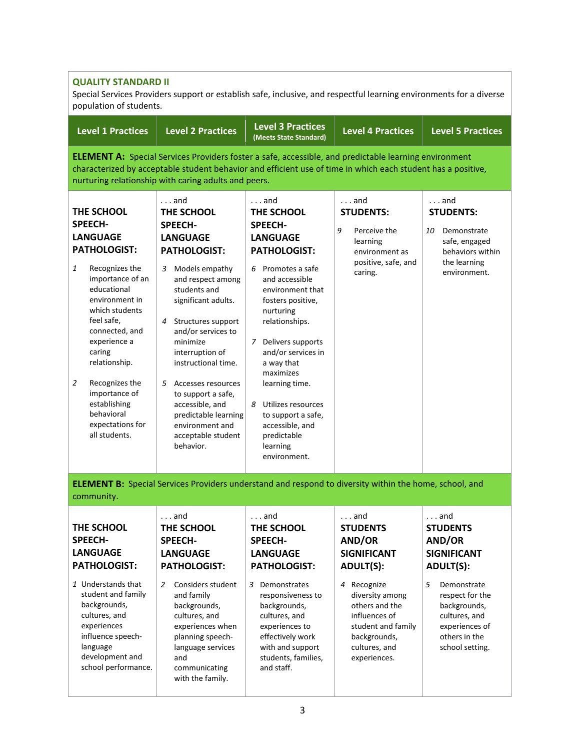### **QUALITY STANDARD II**

Special Services Providers support or establish safe, inclusive, and respectful learning environments for a diverse population of students.

| <b>Level 1 Practices</b>                                                                                                                                                                                                                                                                                                                                   | <b>Level 2 Practices</b>                                                                                                                                                                                                                                                                                                                                                                                                        | <b>Level 3 Practices</b><br>(Meets State Standard)                                                                                                                                                                                                                                                                                                                                                          | <b>Level 4 Practices</b>                                                                                              | <b>Level 5 Practices</b>                                                                                            |  |  |  |
|------------------------------------------------------------------------------------------------------------------------------------------------------------------------------------------------------------------------------------------------------------------------------------------------------------------------------------------------------------|---------------------------------------------------------------------------------------------------------------------------------------------------------------------------------------------------------------------------------------------------------------------------------------------------------------------------------------------------------------------------------------------------------------------------------|-------------------------------------------------------------------------------------------------------------------------------------------------------------------------------------------------------------------------------------------------------------------------------------------------------------------------------------------------------------------------------------------------------------|-----------------------------------------------------------------------------------------------------------------------|---------------------------------------------------------------------------------------------------------------------|--|--|--|
| <b>ELEMENT A:</b> Special Services Providers foster a safe, accessible, and predictable learning environment<br>characterized by acceptable student behavior and efficient use of time in which each student has a positive,<br>nurturing relationship with caring adults and peers.                                                                       |                                                                                                                                                                                                                                                                                                                                                                                                                                 |                                                                                                                                                                                                                                                                                                                                                                                                             |                                                                                                                       |                                                                                                                     |  |  |  |
| THE SCHOOL<br><b>SPEECH-</b><br><b>LANGUAGE</b><br><b>PATHOLOGIST:</b><br>1<br>Recognizes the<br>importance of an<br>educational<br>environment in<br>which students<br>feel safe,<br>connected, and<br>experience a<br>caring<br>relationship.<br>2<br>Recognizes the<br>importance of<br>establishing<br>behavioral<br>expectations for<br>all students. | $\ldots$ and<br>THE SCHOOL<br><b>SPEECH-</b><br><b>LANGUAGE</b><br><b>PATHOLOGIST:</b><br>Models empathy<br>3<br>and respect among<br>students and<br>significant adults.<br>Structures support<br>4<br>and/or services to<br>minimize<br>interruption of<br>instructional time.<br>5 Accesses resources<br>to support a safe,<br>accessible, and<br>predictable learning<br>environment and<br>acceptable student<br>behavior. | $\ldots$ and<br>THE SCHOOL<br><b>SPEECH-</b><br><b>LANGUAGE</b><br><b>PATHOLOGIST:</b><br>6 Promotes a safe<br>and accessible<br>environment that<br>fosters positive,<br>nurturing<br>relationships.<br>7 Delivers supports<br>and/or services in<br>a way that<br>maximizes<br>learning time.<br>8 Utilizes resources<br>to support a safe,<br>accessible, and<br>predictable<br>learning<br>environment. | $\ldots$ and<br><b>STUDENTS:</b><br>9<br>Perceive the<br>learning<br>environment as<br>positive, safe, and<br>caring. | . and<br><b>STUDENTS:</b><br>10<br>Demonstrate<br>safe, engaged<br>behaviors within<br>the learning<br>environment. |  |  |  |
| community.                                                                                                                                                                                                                                                                                                                                                 | <b>ELEMENT B:</b> Special Services Providers understand and respond to diversity within the home, school, and                                                                                                                                                                                                                                                                                                                   |                                                                                                                                                                                                                                                                                                                                                                                                             |                                                                                                                       |                                                                                                                     |  |  |  |
| THE SCHOOL<br><b>SPEECH-</b><br><b>LANGUAGE</b><br><b>PATHOLOGIST:</b>                                                                                                                                                                                                                                                                                     | $\ldots$ and<br>THE SCHOOL<br><b>SPEECH-</b><br><b>LANGUAGE</b><br><b>PATHOLOGIST:</b>                                                                                                                                                                                                                                                                                                                                          | $\ldots$ and<br>THE SCHOOL<br><b>SPEECH-</b><br><b>LANGUAGE</b><br><b>PATHOLOGIST:</b>                                                                                                                                                                                                                                                                                                                      | $\ldots$ and<br><b>STUDENTS</b><br>AND/OR<br><b>SIGNIFICANT</b><br><b>ADULT(S):</b>                                   | $\ldots$ and<br><b>STUDENTS</b><br>AND/OR<br><b>SIGNIFICANT</b><br><b>ADULT(S):</b>                                 |  |  |  |

*1* Understands that student and family backgrounds, cultures, and experiences influence speechlanguage development and school performance.

# *2* Considers student and family backgrounds, cultures, and experiences when planning speechlanguage services and *3* Demonstrates

communicating with the family. responsiveness to backgrounds, cultures, and experiences to effectively work with and support students, families, and staff.

#### *4* Recognize diversity among others and the influences of student and family backgrounds, cultures, and experiences.

- *5* Demonstrate respect for the
	- backgrounds, cultures, and experiences of others in the school setting.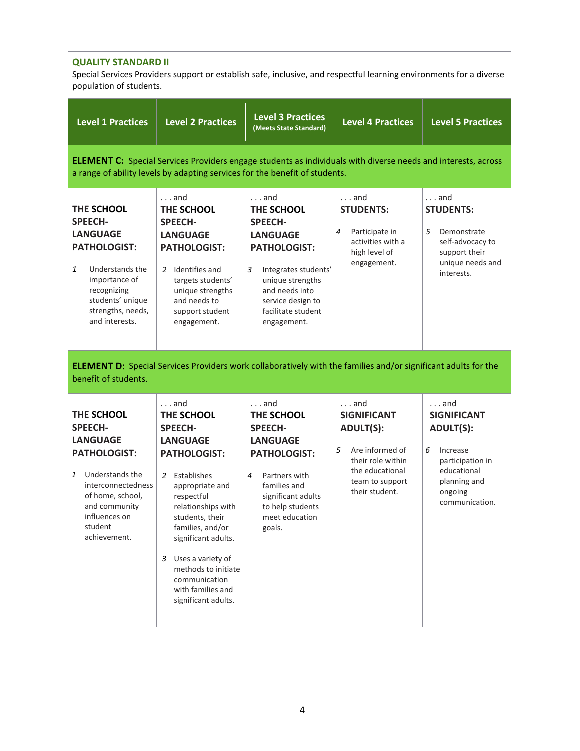| <b>QUALITY STANDARD II</b><br>Special Services Providers support or establish safe, inclusive, and respectful learning environments for a diverse<br>population of students.                        |                                                                                                                                                                                                                                                                                                                                          |                                                                                                                                                                                                                     |                                                                                                                                                             |                                                                                                                                                         |  |  |
|-----------------------------------------------------------------------------------------------------------------------------------------------------------------------------------------------------|------------------------------------------------------------------------------------------------------------------------------------------------------------------------------------------------------------------------------------------------------------------------------------------------------------------------------------------|---------------------------------------------------------------------------------------------------------------------------------------------------------------------------------------------------------------------|-------------------------------------------------------------------------------------------------------------------------------------------------------------|---------------------------------------------------------------------------------------------------------------------------------------------------------|--|--|
| <b>Level 1 Practices</b>                                                                                                                                                                            | <b>Level 2 Practices</b>                                                                                                                                                                                                                                                                                                                 | <b>Level 3 Practices</b><br>(Meets State Standard)                                                                                                                                                                  | <b>Level 4 Practices</b>                                                                                                                                    | <b>Level 5 Practices</b>                                                                                                                                |  |  |
| <b>ELEMENT C:</b> Special Services Providers engage students as individuals with diverse needs and interests, across<br>a range of ability levels by adapting services for the benefit of students. |                                                                                                                                                                                                                                                                                                                                          |                                                                                                                                                                                                                     |                                                                                                                                                             |                                                                                                                                                         |  |  |
| THE SCHOOL<br><b>SPEECH-</b><br><b>LANGUAGE</b><br><b>PATHOLOGIST:</b><br>1<br>Understands the<br>importance of<br>recognizing<br>students' unique<br>strengths, needs,<br>and interests.           | . and<br>THE SCHOOL<br><b>SPEECH-</b><br><b>LANGUAGE</b><br><b>PATHOLOGIST:</b><br>Identifies and<br>2<br>targets students'<br>unique strengths<br>and needs to<br>support student<br>engagement.                                                                                                                                        | $\ldots$ and<br>THE SCHOOL<br><b>SPEECH-</b><br><b>LANGUAGE</b><br><b>PATHOLOGIST:</b><br>3<br>Integrates students'<br>unique strengths<br>and needs into<br>service design to<br>facilitate student<br>engagement. | . and<br><b>STUDENTS:</b><br>Participate in<br>4<br>activities with a<br>high level of<br>engagement.                                                       | $\ldots$ and<br><b>STUDENTS:</b><br>5<br>Demonstrate<br>self-advocacy to<br>support their<br>unique needs and<br>interests.                             |  |  |
| benefit of students.                                                                                                                                                                                |                                                                                                                                                                                                                                                                                                                                          | <b>ELEMENT D:</b> Special Services Providers work collaboratively with the families and/or significant adults for the                                                                                               |                                                                                                                                                             |                                                                                                                                                         |  |  |
| THE SCHOOL<br><b>SPEECH-</b><br><b>LANGUAGE</b><br><b>PATHOLOGIST:</b><br>1 Understands the<br>interconnectedness<br>of home, school,<br>and community<br>influences on<br>student<br>achievement.  | $\ldots$ and<br>THE SCHOOL<br><b>SPEECH-</b><br><b>LANGUAGE</b><br><b>PATHOLOGIST:</b><br>Establishes<br>appropriate and<br>respectful<br>relationships with<br>students, their<br>families, and/or<br>significant adults.<br>Uses a variety of<br>3<br>methods to initiate<br>communication<br>with families and<br>significant adults. | $\ldots$ and<br>THE SCHOOL<br><b>SPEECH-</b><br><b>LANGUAGE</b><br><b>PATHOLOGIST:</b><br>Partners with<br>families and<br>significant adults<br>to help students<br>meet education<br>goals.                       | $\ldots$ and<br><b>SIGNIFICANT</b><br><b>ADULT(S):</b><br>5<br>Are informed of<br>their role within<br>the educational<br>team to support<br>their student. | $\ldots$ and<br><b>SIGNIFICANT</b><br><b>ADULT(S):</b><br>6<br>Increase<br>participation in<br>educational<br>planning and<br>ongoing<br>communication. |  |  |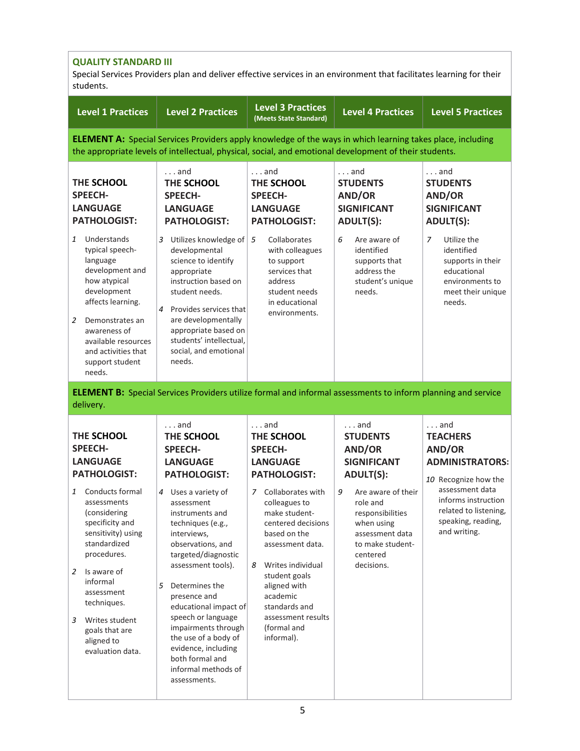| <b>QUALITY STANDARD III</b><br>Special Services Providers plan and deliver effective services in an environment that facilitates learning for their<br>students.                                                                                                                                                                              |                                                                                                                                                                                                                                                                                                                                                                                                                                                                               |                                                                                                                                                                                                                                                                                                                                                         |                                                                                                                                                                                                                               |                                                                                                                                                                                                      |  |  |
|-----------------------------------------------------------------------------------------------------------------------------------------------------------------------------------------------------------------------------------------------------------------------------------------------------------------------------------------------|-------------------------------------------------------------------------------------------------------------------------------------------------------------------------------------------------------------------------------------------------------------------------------------------------------------------------------------------------------------------------------------------------------------------------------------------------------------------------------|---------------------------------------------------------------------------------------------------------------------------------------------------------------------------------------------------------------------------------------------------------------------------------------------------------------------------------------------------------|-------------------------------------------------------------------------------------------------------------------------------------------------------------------------------------------------------------------------------|------------------------------------------------------------------------------------------------------------------------------------------------------------------------------------------------------|--|--|
| <b>Level 1 Practices</b>                                                                                                                                                                                                                                                                                                                      | <b>Level 2 Practices</b>                                                                                                                                                                                                                                                                                                                                                                                                                                                      | <b>Level 3 Practices</b><br>(Meets State Standard)                                                                                                                                                                                                                                                                                                      | <b>Level 4 Practices</b>                                                                                                                                                                                                      | <b>Level 5 Practices</b>                                                                                                                                                                             |  |  |
|                                                                                                                                                                                                                                                                                                                                               | <b>ELEMENT A:</b> Special Services Providers apply knowledge of the ways in which learning takes place, including<br>the appropriate levels of intellectual, physical, social, and emotional development of their students.                                                                                                                                                                                                                                                   |                                                                                                                                                                                                                                                                                                                                                         |                                                                                                                                                                                                                               |                                                                                                                                                                                                      |  |  |
| THE SCHOOL<br><b>SPEECH-</b><br><b>LANGUAGE</b><br><b>PATHOLOGIST:</b>                                                                                                                                                                                                                                                                        | $\ldots$ and<br>THE SCHOOL<br><b>SPEECH-</b><br><b>LANGUAGE</b><br><b>PATHOLOGIST:</b>                                                                                                                                                                                                                                                                                                                                                                                        | $\ldots$ and<br>THE SCHOOL<br><b>SPEECH-</b><br><b>LANGUAGE</b><br><b>PATHOLOGIST:</b>                                                                                                                                                                                                                                                                  | $\ldots$ and<br><b>STUDENTS</b><br>AND/OR<br><b>SIGNIFICANT</b><br><b>ADULT(S):</b>                                                                                                                                           | $\ldots$ and<br><b>STUDENTS</b><br>AND/OR<br><b>SIGNIFICANT</b><br><b>ADULT(S):</b>                                                                                                                  |  |  |
| $\mathbf{1}$<br>Understands<br>typical speech-<br>language<br>development and<br>how atypical<br>development<br>affects learning.<br>$\overline{2}$<br>Demonstrates an<br>awareness of<br>available resources<br>and activities that<br>support student<br>needs.                                                                             | 3<br>Utilizes knowledge of<br>developmental<br>science to identify<br>appropriate<br>instruction based on<br>student needs.<br>Provides services that<br>4<br>are developmentally<br>appropriate based on<br>students' intellectual,<br>social, and emotional<br>needs.                                                                                                                                                                                                       | Collaborates<br>5<br>with colleagues<br>to support<br>services that<br>address<br>student needs<br>in educational<br>environments.                                                                                                                                                                                                                      | 6<br>Are aware of<br>identified<br>supports that<br>address the<br>student's unique<br>needs.                                                                                                                                 | $\overline{z}$<br>Utilize the<br>identified<br>supports in their<br>educational<br>environments to<br>meet their unique<br>needs.                                                                    |  |  |
| delivery.                                                                                                                                                                                                                                                                                                                                     | <b>ELEMENT B:</b> Special Services Providers utilize formal and informal assessments to inform planning and service                                                                                                                                                                                                                                                                                                                                                           |                                                                                                                                                                                                                                                                                                                                                         |                                                                                                                                                                                                                               |                                                                                                                                                                                                      |  |  |
| THE SCHOOL<br><b>SPEECH-</b><br><b>LANGUAGE</b><br><b>PATHOLOGIST:</b><br>Conducts formal<br>1<br>assessments<br>(considering<br>specificity and<br>sensitivity) using<br>standardized<br>procedures.<br>Is aware of<br>2<br>informal<br>assessment<br>techniques.<br>3<br>Writes student<br>goals that are<br>aligned to<br>evaluation data. | $\ldots$ and<br>THE SCHOOL<br><b>SPEECH-</b><br><b>LANGUAGE</b><br><b>PATHOLOGIST:</b><br>Uses a variety of<br>4<br>assessment<br>instruments and<br>techniques (e.g.,<br>interviews,<br>observations, and<br>targeted/diagnostic<br>assessment tools).<br>Determines the<br>5<br>presence and<br>educational impact of<br>speech or language<br>impairments through<br>the use of a body of<br>evidence, including<br>both formal and<br>informal methods of<br>assessments. | $\ldots$ and<br>THE SCHOOL<br><b>SPEECH-</b><br><b>LANGUAGE</b><br><b>PATHOLOGIST:</b><br>Collaborates with<br>7<br>colleagues to<br>make student-<br>centered decisions<br>based on the<br>assessment data.<br>Writes individual<br>8<br>student goals<br>aligned with<br>academic<br>standards and<br>assessment results<br>(formal and<br>informal). | $\ldots$ and<br><b>STUDENTS</b><br>AND/OR<br><b>SIGNIFICANT</b><br><b>ADULT(S):</b><br>9<br>Are aware of their<br>role and<br>responsibilities<br>when using<br>assessment data<br>to make student-<br>centered<br>decisions. | $\ldots$ and<br><b>TEACHERS</b><br>AND/OR<br><b>ADMINISTRATORS:</b><br>10 Recognize how the<br>assessment data<br>informs instruction<br>related to listening,<br>speaking, reading,<br>and writing. |  |  |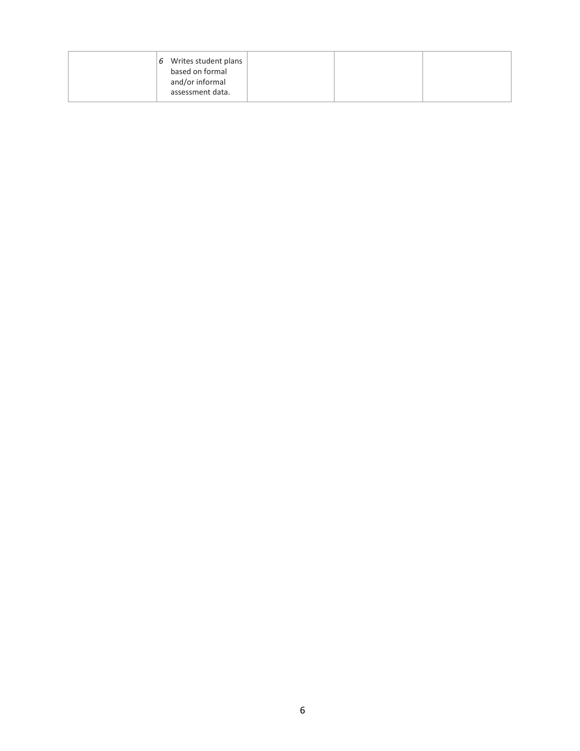| based on formal<br>and/or informal<br>assessment data. |
|--------------------------------------------------------|
|--------------------------------------------------------|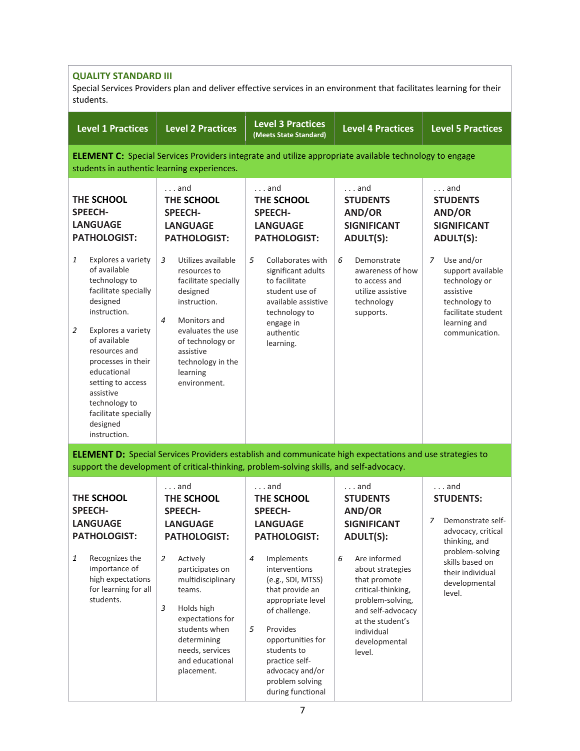## **QUALITY STANDARD III**

Special Services Providers plan and deliver effective services in an environment that facilitates learning for their students.

| <b>Level 1 Practices</b>                                                                                                                                                                                                                                                                                             | <b>Level 2 Practices</b>                                                                                                                                                                                                                                                                                       | <b>Level 3 Practices</b><br>(Meets State Standard)                                                                                                                                                                                                                                                                                | <b>Level 4 Practices</b>                                                                                                                                                                                                                                          | <b>Level 5 Practices</b>                                                                                                                                                               |
|----------------------------------------------------------------------------------------------------------------------------------------------------------------------------------------------------------------------------------------------------------------------------------------------------------------------|----------------------------------------------------------------------------------------------------------------------------------------------------------------------------------------------------------------------------------------------------------------------------------------------------------------|-----------------------------------------------------------------------------------------------------------------------------------------------------------------------------------------------------------------------------------------------------------------------------------------------------------------------------------|-------------------------------------------------------------------------------------------------------------------------------------------------------------------------------------------------------------------------------------------------------------------|----------------------------------------------------------------------------------------------------------------------------------------------------------------------------------------|
| students in authentic learning experiences.                                                                                                                                                                                                                                                                          |                                                                                                                                                                                                                                                                                                                |                                                                                                                                                                                                                                                                                                                                   | <b>ELEMENT C:</b> Special Services Providers integrate and utilize appropriate available technology to engage                                                                                                                                                     |                                                                                                                                                                                        |
| THE SCHOOL<br><b>SPEECH-</b><br><b>LANGUAGE</b><br><b>PATHOLOGIST:</b>                                                                                                                                                                                                                                               | $\ldots$ and<br>THE SCHOOL<br><b>SPEECH-</b><br><b>LANGUAGE</b><br><b>PATHOLOGIST:</b>                                                                                                                                                                                                                         | . and<br>THE SCHOOL<br><b>SPEECH-</b><br><b>LANGUAGE</b><br><b>PATHOLOGIST:</b>                                                                                                                                                                                                                                                   | . and<br><b>STUDENTS</b><br>AND/OR<br><b>SIGNIFICANT</b><br><b>ADULT(S):</b>                                                                                                                                                                                      | $\ldots$ and<br><b>STUDENTS</b><br>AND/OR<br><b>SIGNIFICANT</b><br><b>ADULT(S):</b>                                                                                                    |
| 1<br>Explores a variety<br>of available<br>technology to<br>facilitate specially<br>designed<br>instruction.<br>2<br>Explores a variety<br>of available<br>resources and<br>processes in their<br>educational<br>setting to access<br>assistive<br>technology to<br>facilitate specially<br>designed<br>instruction. | 3<br>Utilizes available<br>resources to<br>facilitate specially<br>designed<br>instruction.<br>$\overline{4}$<br>Monitors and<br>evaluates the use<br>of technology or<br>assistive<br>technology in the<br>learning<br>environment.                                                                           | 5<br>Collaborates with<br>significant adults<br>to facilitate<br>student use of<br>available assistive<br>technology to<br>engage in<br>authentic<br>learning.                                                                                                                                                                    | 6<br>Demonstrate<br>awareness of how<br>to access and<br>utilize assistive<br>technology<br>supports.                                                                                                                                                             | Use and/or<br>7<br>support available<br>technology or<br>assistive<br>technology to<br>facilitate student<br>learning and<br>communication.                                            |
|                                                                                                                                                                                                                                                                                                                      | support the development of critical-thinking, problem-solving skills, and self-advocacy.                                                                                                                                                                                                                       |                                                                                                                                                                                                                                                                                                                                   | <b>ELEMENT D:</b> Special Services Providers establish and communicate high expectations and use strategies to                                                                                                                                                    |                                                                                                                                                                                        |
| THE SCHOOL<br><b>SPEECH-</b><br><b>LANGUAGE</b><br><b>PATHOLOGIST:</b><br>1<br>Recognizes the<br>importance of<br>high expectations<br>for learning for all<br>students.                                                                                                                                             | $\ldots$ and<br>THE SCHOOL<br><b>SPEECH-</b><br><b>LANGUAGE</b><br><b>PATHOLOGIST:</b><br>$\overline{2}$<br>Actively<br>participates on<br>multidisciplinary<br>teams.<br>$\mathfrak{Z}$<br>Holds high<br>expectations for<br>students when<br>determining<br>needs, services<br>and educational<br>placement. | and<br>THE SCHOOL<br><b>SPEECH-</b><br><b>LANGUAGE</b><br><b>PATHOLOGIST:</b><br>4<br>Implements<br>interventions<br>(e.g., SDI, MTSS)<br>that provide an<br>appropriate level<br>of challenge.<br>5<br>Provides<br>opportunities for<br>students to<br>practice self-<br>advocacy and/or<br>problem solving<br>during functional | . and<br><b>STUDENTS</b><br>AND/OR<br><b>SIGNIFICANT</b><br><b>ADULT(S):</b><br>6<br>Are informed<br>about strategies<br>that promote<br>critical-thinking,<br>problem-solving,<br>and self-advocacy<br>at the student's<br>individual<br>developmental<br>level. | $\ldots$ and<br><b>STUDENTS:</b><br>Demonstrate self-<br>7<br>advocacy, critical<br>thinking, and<br>problem-solving<br>skills based on<br>their individual<br>developmental<br>level. |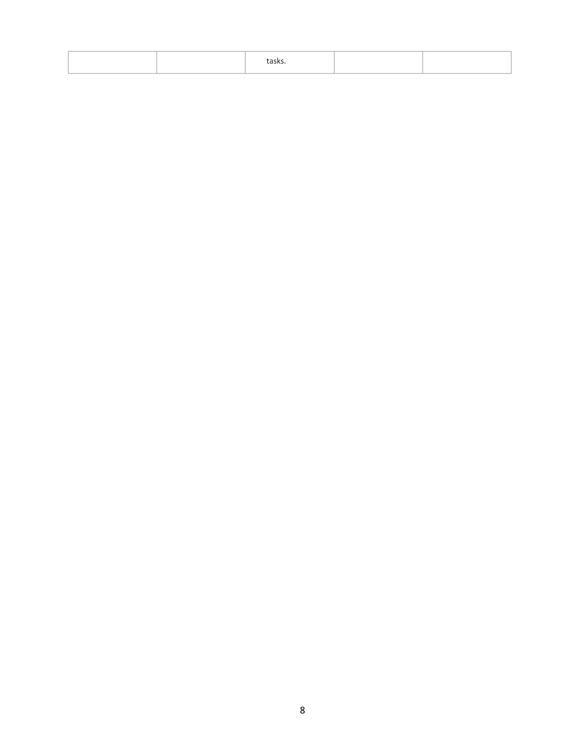|  | ια১κ১ |  |
|--|-------|--|
|  |       |  |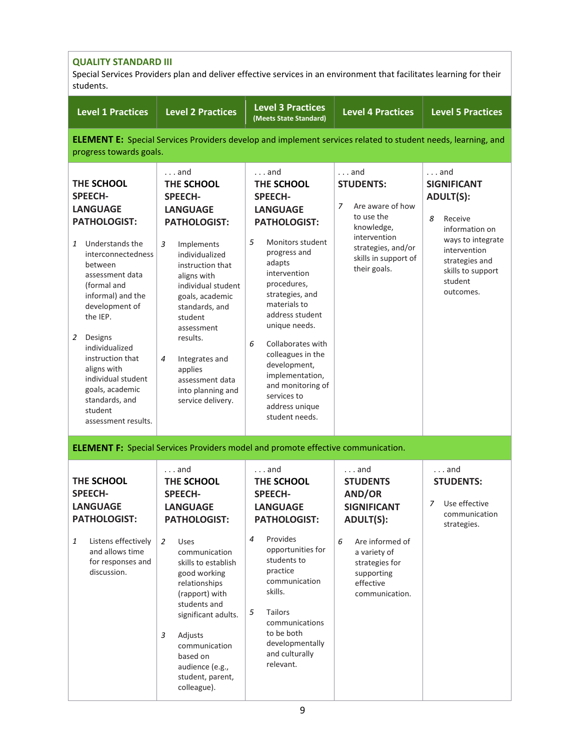| <b>QUALITY STANDARD III</b><br>Special Services Providers plan and deliver effective services in an environment that facilitates learning for their<br>students.                                                                                                                                                                                                                       |                                                                                                                                                                                                                                                                                                                                                               |                                                                                                                                                                                                                                                                                                                                                                                                           |                                                                                                                                                                                            |                                                                                                                                                                                              |  |  |
|----------------------------------------------------------------------------------------------------------------------------------------------------------------------------------------------------------------------------------------------------------------------------------------------------------------------------------------------------------------------------------------|---------------------------------------------------------------------------------------------------------------------------------------------------------------------------------------------------------------------------------------------------------------------------------------------------------------------------------------------------------------|-----------------------------------------------------------------------------------------------------------------------------------------------------------------------------------------------------------------------------------------------------------------------------------------------------------------------------------------------------------------------------------------------------------|--------------------------------------------------------------------------------------------------------------------------------------------------------------------------------------------|----------------------------------------------------------------------------------------------------------------------------------------------------------------------------------------------|--|--|
| <b>Level 1 Practices</b>                                                                                                                                                                                                                                                                                                                                                               | <b>Level 2 Practices</b>                                                                                                                                                                                                                                                                                                                                      | <b>Level 3 Practices</b><br>(Meets State Standard)                                                                                                                                                                                                                                                                                                                                                        | <b>Level 4 Practices</b>                                                                                                                                                                   | <b>Level 5 Practices</b>                                                                                                                                                                     |  |  |
| progress towards goals.                                                                                                                                                                                                                                                                                                                                                                |                                                                                                                                                                                                                                                                                                                                                               | <b>ELEMENT E:</b> Special Services Providers develop and implement services related to student needs, learning, and                                                                                                                                                                                                                                                                                       |                                                                                                                                                                                            |                                                                                                                                                                                              |  |  |
| THE SCHOOL<br><b>SPEECH-</b><br><b>LANGUAGE</b><br><b>PATHOLOGIST:</b><br>Understands the<br>1<br>interconnectedness<br>between<br>assessment data<br>(formal and<br>informal) and the<br>development of<br>the IEP.<br>Designs<br>2<br>individualized<br>instruction that<br>aligns with<br>individual student<br>goals, academic<br>standards, and<br>student<br>assessment results. | $\ldots$ and<br>THE SCHOOL<br><b>SPEECH-</b><br><b>LANGUAGE</b><br><b>PATHOLOGIST:</b><br>3<br>Implements<br>individualized<br>instruction that<br>aligns with<br>individual student<br>goals, academic<br>standards, and<br>student<br>assessment<br>results.<br>4<br>Integrates and<br>applies<br>assessment data<br>into planning and<br>service delivery. | $\ldots$ and<br>THE SCHOOL<br><b>SPEECH-</b><br><b>LANGUAGE</b><br><b>PATHOLOGIST:</b><br>5<br>Monitors student<br>progress and<br>adapts<br>intervention<br>procedures,<br>strategies, and<br>materials to<br>address student<br>unique needs.<br>6<br>Collaborates with<br>colleagues in the<br>development,<br>implementation,<br>and monitoring of<br>services to<br>address unique<br>student needs. | $\ldots$ and<br><b>STUDENTS:</b><br>Are aware of how<br>7<br>to use the<br>knowledge,<br>intervention<br>strategies, and/or<br>skills in support of<br>their goals.                        | $\ldots$ and<br><b>SIGNIFICANT</b><br><b>ADULT(S):</b><br>8<br>Receive<br>information on<br>ways to integrate<br>intervention<br>strategies and<br>skills to support<br>student<br>outcomes. |  |  |
|                                                                                                                                                                                                                                                                                                                                                                                        |                                                                                                                                                                                                                                                                                                                                                               | <b>ELEMENT F:</b> Special Services Providers model and promote effective communication.                                                                                                                                                                                                                                                                                                                   |                                                                                                                                                                                            |                                                                                                                                                                                              |  |  |
| THE SCHOOL<br><b>SPEECH-</b><br><b>LANGUAGE</b><br><b>PATHOLOGIST:</b><br>Listens effectively<br>1<br>and allows time<br>for responses and<br>discussion.                                                                                                                                                                                                                              | $\ldots$ and<br>THE SCHOOL<br><b>SPEECH-</b><br><b>LANGUAGE</b><br><b>PATHOLOGIST:</b><br>$\overline{2}$<br><b>Uses</b><br>communication<br>skills to establish<br>good working<br>relationships<br>(rapport) with<br>students and<br>significant adults.<br>3<br>Adjusts<br>communication<br>based on<br>audience (e.g.,<br>student, parent,<br>colleague).  | and<br>THE SCHOOL<br><b>SPEECH-</b><br><b>LANGUAGE</b><br><b>PATHOLOGIST:</b><br>Provides<br>4<br>opportunities for<br>students to<br>practice<br>communication<br>skills.<br>5<br><b>Tailors</b><br>communications<br>to be both<br>developmentally<br>and culturally<br>relevant.                                                                                                                       | $\ldots$ and<br><b>STUDENTS</b><br>AND/OR<br><b>SIGNIFICANT</b><br><b>ADULT(S):</b><br>6<br>Are informed of<br>a variety of<br>strategies for<br>supporting<br>effective<br>communication. | $\ldots$ and<br><b>STUDENTS:</b><br>Use effective<br>7<br>communication<br>strategies.                                                                                                       |  |  |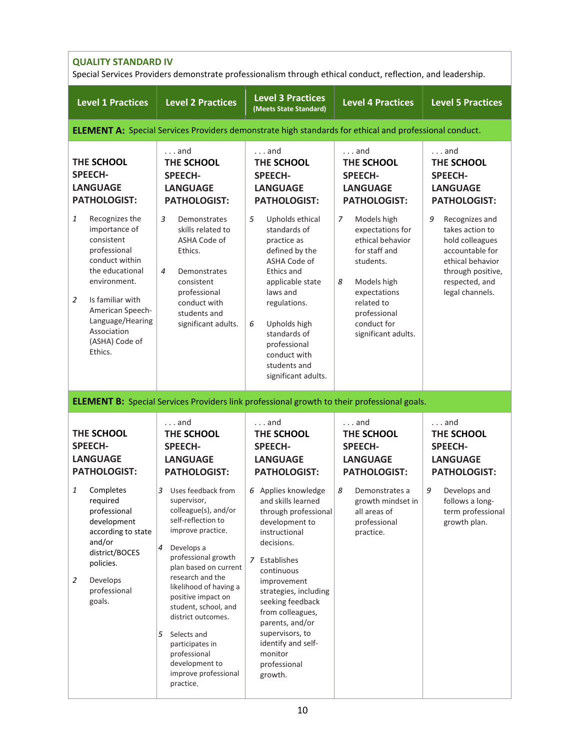| <b>QUALITY STANDARD IV</b><br>Special Services Providers demonstrate professionalism through ethical conduct, reflection, and leadership.                                                                                                         |                                                                                                                                                                                                                                                                                                                                                                                                              |                                                                                                                                                                                                                                                                                                                                     |                                                                                                                                                                                                |                                                                                                                                                            |  |
|---------------------------------------------------------------------------------------------------------------------------------------------------------------------------------------------------------------------------------------------------|--------------------------------------------------------------------------------------------------------------------------------------------------------------------------------------------------------------------------------------------------------------------------------------------------------------------------------------------------------------------------------------------------------------|-------------------------------------------------------------------------------------------------------------------------------------------------------------------------------------------------------------------------------------------------------------------------------------------------------------------------------------|------------------------------------------------------------------------------------------------------------------------------------------------------------------------------------------------|------------------------------------------------------------------------------------------------------------------------------------------------------------|--|
| <b>Level 1 Practices</b>                                                                                                                                                                                                                          | <b>Level 2 Practices</b>                                                                                                                                                                                                                                                                                                                                                                                     | <b>Level 3 Practices</b><br>(Meets State Standard)                                                                                                                                                                                                                                                                                  | <b>Level 4 Practices</b>                                                                                                                                                                       | <b>Level 5 Practices</b>                                                                                                                                   |  |
|                                                                                                                                                                                                                                                   | <b>ELEMENT A:</b> Special Services Providers demonstrate high standards for ethical and professional conduct.                                                                                                                                                                                                                                                                                                |                                                                                                                                                                                                                                                                                                                                     |                                                                                                                                                                                                |                                                                                                                                                            |  |
| THE SCHOOL<br><b>SPEECH-</b><br><b>LANGUAGE</b><br><b>PATHOLOGIST:</b>                                                                                                                                                                            | $\ldots$ and<br>THE SCHOOL<br><b>SPEECH-</b><br><b>LANGUAGE</b><br><b>PATHOLOGIST:</b>                                                                                                                                                                                                                                                                                                                       | $\ldots$ and<br>THE SCHOOL<br><b>SPEECH-</b><br><b>LANGUAGE</b><br><b>PATHOLOGIST:</b>                                                                                                                                                                                                                                              | $\ldots$ and<br>THE SCHOOL<br><b>SPEECH-</b><br><b>LANGUAGE</b><br><b>PATHOLOGIST:</b>                                                                                                         | $\ldots$ and<br>THE SCHOOL<br><b>SPEECH-</b><br><b>LANGUAGE</b><br><b>PATHOLOGIST:</b>                                                                     |  |
| 1<br>Recognizes the<br>importance of<br>consistent<br>professional<br>conduct within<br>the educational<br>environment.<br>$\overline{2}$<br>Is familiar with<br>American Speech-<br>Language/Hearing<br>Association<br>(ASHA) Code of<br>Ethics. | 3<br>Demonstrates<br>skills related to<br>ASHA Code of<br>Ethics.<br>$\overline{4}$<br>Demonstrates<br>consistent<br>professional<br>conduct with<br>students and<br>significant adults.                                                                                                                                                                                                                     | 5<br>Upholds ethical<br>standards of<br>practice as<br>defined by the<br>ASHA Code of<br>Ethics and<br>applicable state<br>laws and<br>regulations.<br>Upholds high<br>6<br>standards of<br>professional<br>conduct with<br>students and<br>significant adults.                                                                     | 7<br>Models high<br>expectations for<br>ethical behavior<br>for staff and<br>students.<br>8<br>Models high<br>expectations<br>related to<br>professional<br>conduct for<br>significant adults. | 9<br>Recognizes and<br>takes action to<br>hold colleagues<br>accountable for<br>ethical behavior<br>through positive,<br>respected, and<br>legal channels. |  |
|                                                                                                                                                                                                                                                   | <b>ELEMENT B:</b> Special Services Providers link professional growth to their professional goals.                                                                                                                                                                                                                                                                                                           |                                                                                                                                                                                                                                                                                                                                     |                                                                                                                                                                                                |                                                                                                                                                            |  |
| THE SCHOOL<br><b>SPEECH-</b><br><b>LANGUAGE</b><br><b>PATHOLOGIST:</b>                                                                                                                                                                            | $\ldots$ and<br>THE SCHOOL<br><b>SPEECH-</b><br><b>LANGUAGE</b><br><b>PATHOLOGIST:</b>                                                                                                                                                                                                                                                                                                                       | $\ldots$ and<br>THE SCHOOL<br><b>SPEECH-</b><br><b>LANGUAGE</b><br><b>PATHOLOGIST:</b>                                                                                                                                                                                                                                              | and<br>THE SCHOOL<br><b>SPEECH-</b><br><b>LANGUAGE</b><br><b>PATHOLOGIST:</b>                                                                                                                  | $\ldots$ and<br>THE SCHOOL<br><b>SPEECH-</b><br><b>LANGUAGE</b><br><b>PATHOLOGIST:</b>                                                                     |  |
| Completes<br>1<br>required<br>professional<br>development<br>according to state<br>and/or<br>district/BOCES<br>policies.<br>Develops<br>2<br>professional<br>goals.                                                                               | 3<br>Uses feedback from<br>supervisor,<br>colleague(s), and/or<br>self-reflection to<br>improve practice.<br>Develops a<br>4<br>professional growth<br>plan based on current<br>research and the<br>likelihood of having a<br>positive impact on<br>student, school, and<br>district outcomes.<br>5<br>Selects and<br>participates in<br>professional<br>development to<br>improve professional<br>practice. | 6 Applies knowledge<br>and skills learned<br>through professional<br>development to<br>instructional<br>decisions.<br>7 Establishes<br>continuous<br>improvement<br>strategies, including<br>seeking feedback<br>from colleagues,<br>parents, and/or<br>supervisors, to<br>identify and self-<br>monitor<br>professional<br>growth. | 8<br>Demonstrates a<br>growth mindset in<br>all areas of<br>professional<br>practice.                                                                                                          | 9<br>Develops and<br>follows a long-<br>term professional<br>growth plan.                                                                                  |  |